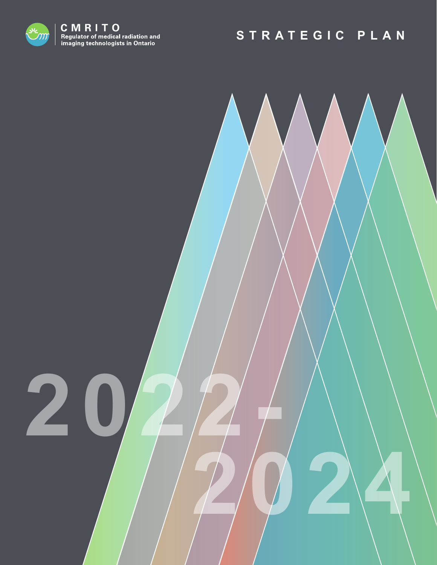

**2022-**

 **2024**

# **STRATEGIC PLAN**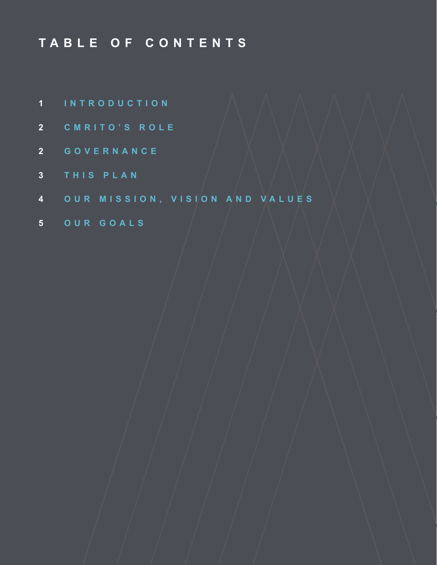# **TABLE OF CONTENTS**

- **1 INTRODUCTION**
- **CMRITO'S ROLE**
- **GOVERNANCE**
- **THIS PLAN**
- **OUR MISSION, VISION AND VALUES**
- **OUR GOALS**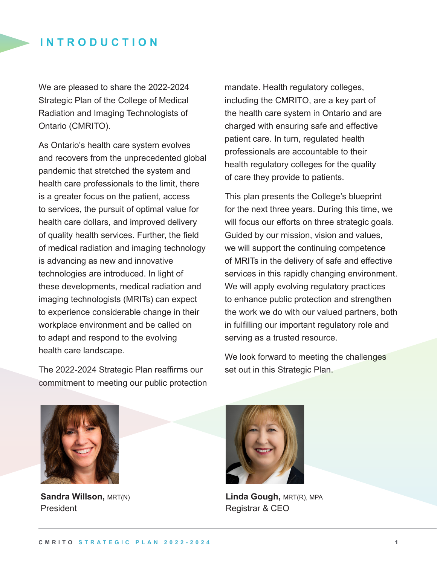#### **INTRODUCTION**

We are pleased to share the 2022-2024 Strategic Plan of the College of Medical Radiation and Imaging Technologists of Ontario (CMRITO).

As Ontario's health care system evolves and recovers from the unprecedented global pandemic that stretched the system and health care professionals to the limit, there is a greater focus on the patient, access to services, the pursuit of optimal value for health care dollars, and improved delivery of quality health services. Further, the field of medical radiation and imaging technology is advancing as new and innovative technologies are introduced. In light of these developments, medical radiation and imaging technologists (MRITs) can expect to experience considerable change in their workplace environment and be called on to adapt and respond to the evolving health care landscape.

The 2022-2024 Strategic Plan reaffirms our commitment to meeting our public protection mandate. Health regulatory colleges, including the CMRITO, are a key part of the health care system in Ontario and are charged with ensuring safe and effective patient care. In turn, regulated health professionals are accountable to their health regulatory colleges for the quality of care they provide to patients.

This plan presents the College's blueprint for the next three years. During this time, we will focus our efforts on three strategic goals. Guided by our mission, vision and values, we will support the continuing competence of MRITs in the delivery of safe and effective services in this rapidly changing environment. We will apply evolving regulatory practices to enhance public protection and strengthen the work we do with our valued partners, both in fulfilling our important regulatory role and serving as a trusted resource.

We look forward to meeting the challenges set out in this Strategic Plan.



**Sandra Willson,** MRT(N) President



**Linda Gough,** MRT(R), MPA Registrar & CEO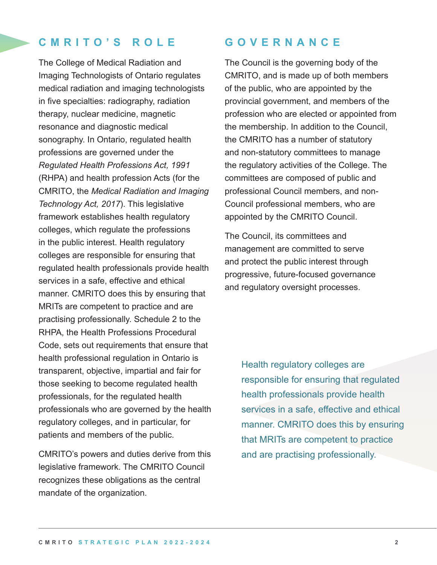### **CMRITO'S ROLE**

The College of Medical Radiation and Imaging Technologists of Ontario regulates medical radiation and imaging technologists in five specialties: radiography, radiation therapy, nuclear medicine, magnetic resonance and diagnostic medical sonography. In Ontario, regulated health professions are governed under the *Regulated Health Professions Act, 1991* (RHPA) and health profession Acts (for the CMRITO, the *Medical Radiation and Imaging Technology Act, 2017*). This legislative framework establishes health regulatory colleges, which regulate the professions in the public interest. Health regulatory colleges are responsible for ensuring that regulated health professionals provide health services in a safe, effective and ethical manner. CMRITO does this by ensuring that MRITs are competent to practice and are practising professionally. Schedule 2 to the RHPA, the Health Professions Procedural Code, sets out requirements that ensure that health professional regulation in Ontario is transparent, objective, impartial and fair for those seeking to become regulated health professionals, for the regulated health professionals who are governed by the health regulatory colleges, and in particular, for patients and members of the public.

CMRITO's powers and duties derive from this legislative framework. The CMRITO Council recognizes these obligations as the central mandate of the organization.

### **G O V E R N A N C E**

The Council is the governing body of the CMRITO, and is made up of both members of the public, who are appointed by the provincial government, and members of the profession who are elected or appointed from the membership. In addition to the Council, the CMRITO has a number of statutory and non-statutory committees to manage the regulatory activities of the College. The committees are composed of public and professional Council members, and non-Council professional members, who are appointed by the CMRITO Council.

The Council, its committees and management are committed to serve and protect the public interest through progressive, future-focused governance and regulatory oversight processes.

> Health regulatory colleges are responsible for ensuring that regulated health professionals provide health services in a safe, effective and ethical manner. CMRITO does this by ensuring that MRITs are competent to practice and are practising professionally.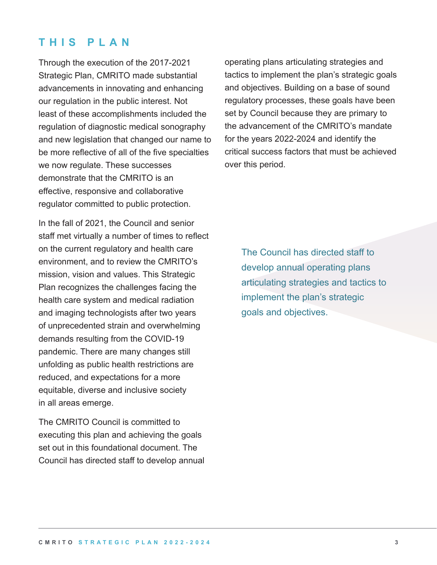### **T H I S P L A N**

Through the execution of the 2017-2021 Strategic Plan, CMRITO made substantial advancements in innovating and enhancing our regulation in the public interest. Not least of these accomplishments included the regulation of diagnostic medical sonography and new legislation that changed our name to be more reflective of all of the five specialties we now regulate. These successes demonstrate that the CMRITO is an effective, responsive and collaborative regulator committed to public protection.

In the fall of 2021, the Council and senior staff met virtually a number of times to reflect on the current regulatory and health care environment, and to review the CMRITO's mission, vision and values. This Strategic Plan recognizes the challenges facing the health care system and medical radiation and imaging technologists after two years of unprecedented strain and overwhelming demands resulting from the COVID-19 pandemic. There are many changes still unfolding as public health restrictions are reduced, and expectations for a more equitable, diverse and inclusive society in all areas emerge.

The CMRITO Council is committed to executing this plan and achieving the goals set out in this foundational document. The Council has directed staff to develop annual operating plans articulating strategies and tactics to implement the plan's strategic goals and objectives. Building on a base of sound regulatory processes, these goals have been set by Council because they are primary to the advancement of the CMRITO's mandate for the years 2022-2024 and identify the critical success factors that must be achieved over this period.

The Council has directed staff to develop annual operating plans articulating strategies and tactics to implement the plan's strategic goals and objectives.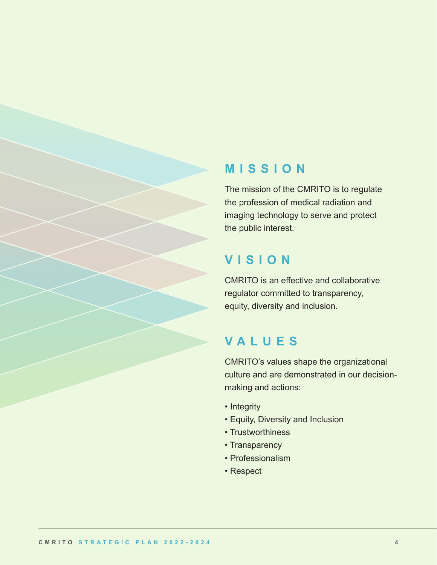### **MISSION**

The mission of the CMRITO is to regulate the profession of medical radiation and imaging technology to serve and protect the public interest.

### **VISION**

CMRITO is an effective and collaborative regulator committed to transparency, equity, diversity and inclusion.

### **VALUES**

CMRITO's values shape the organizational culture and are demonstrated in our decisionmaking and actions:

- Integrity
- Equity, Diversity and Inclusion
- Trustworthiness
- Transparency
- Professionalism
- Respect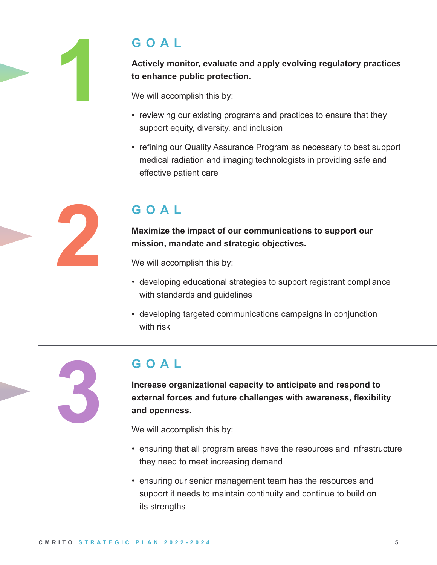

## **GOAL**

**Actively monitor, evaluate and apply evolving regulatory practices to enhance public protection.**

We will accomplish this by:

- reviewing our existing programs and practices to ensure that they support equity, diversity, and inclusion
- refining our Quality Assurance Program as necessary to best support medical radiation and imaging technologists in providing safe and effective patient care

# **GOAL**

**Maximize the impact of our communications to support our mission, mandate and strategic objectives.**

We will accomplish this by:

- developing educational strategies to support registrant compliance with standards and guidelines
- developing targeted communications campaigns in conjunction with risk



# **GOAL**

**Increase organizational capacity to anticipate and respond to external forces and future challenges with awareness, flexibility and openness.** 

We will accomplish this by:

- ensuring that all program areas have the resources and infrastructure they need to meet increasing demand
- ensuring our senior management team has the resources and support it needs to maintain continuity and continue to build on its strengths